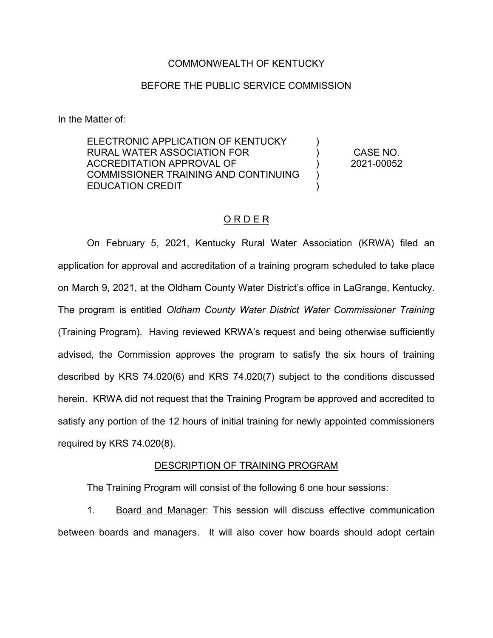### COMMONWEALTH OF KENTUCKY

# BEFORE THE PUBLIC SERVICE COMMISSION

In the Matter of:

ELECTRONIC APPLICATION OF KENTUCKY RURAL WATER ASSOCIATION FOR ACCREDITATION APPROVAL OF COMMISSIONER TRAINING AND CONTINUING EDUCATION CREDIT )  $\lambda$ ) ) ) CASE NO. 2021-00052

# O R D E R

On February 5, 2021, Kentucky Rural Water Association (KRWA) filed an application for approval and accreditation of a training program scheduled to take place on March 9, 2021, at the Oldham County Water District's office in LaGrange, Kentucky. The program is entitled *Oldham County Water District Water Commissioner Training* (Training Program). Having reviewed KRWA's request and being otherwise sufficiently advised, the Commission approves the program to satisfy the six hours of training described by KRS 74.020(6) and KRS 74.020(7) subject to the conditions discussed herein. KRWA did not request that the Training Program be approved and accredited to satisfy any portion of the 12 hours of initial training for newly appointed commissioners required by KRS 74.020(8).

#### DESCRIPTION OF TRAINING PROGRAM

The Training Program will consist of the following 6 one hour sessions:

1. Board and Manager: This session will discuss effective communication between boards and managers. It will also cover how boards should adopt certain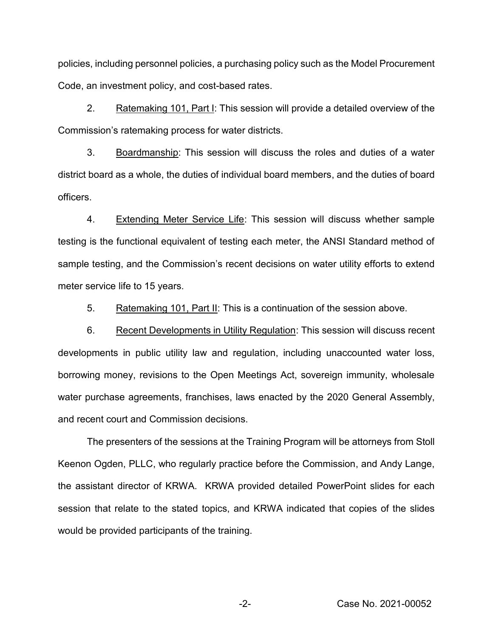policies, including personnel policies, a purchasing policy such as the Model Procurement Code, an investment policy, and cost-based rates.

2. Ratemaking 101, Part I: This session will provide a detailed overview of the Commission's ratemaking process for water districts.

3. Boardmanship: This session will discuss the roles and duties of a water district board as a whole, the duties of individual board members, and the duties of board officers.

4. Extending Meter Service Life: This session will discuss whether sample testing is the functional equivalent of testing each meter, the ANSI Standard method of sample testing, and the Commission's recent decisions on water utility efforts to extend meter service life to 15 years.

5. Ratemaking 101, Part II: This is a continuation of the session above.

6. Recent Developments in Utility Regulation: This session will discuss recent developments in public utility law and regulation, including unaccounted water loss, borrowing money, revisions to the Open Meetings Act, sovereign immunity, wholesale water purchase agreements, franchises, laws enacted by the 2020 General Assembly, and recent court and Commission decisions.

The presenters of the sessions at the Training Program will be attorneys from Stoll Keenon Ogden, PLLC, who regularly practice before the Commission, and Andy Lange, the assistant director of KRWA. KRWA provided detailed PowerPoint slides for each session that relate to the stated topics, and KRWA indicated that copies of the slides would be provided participants of the training.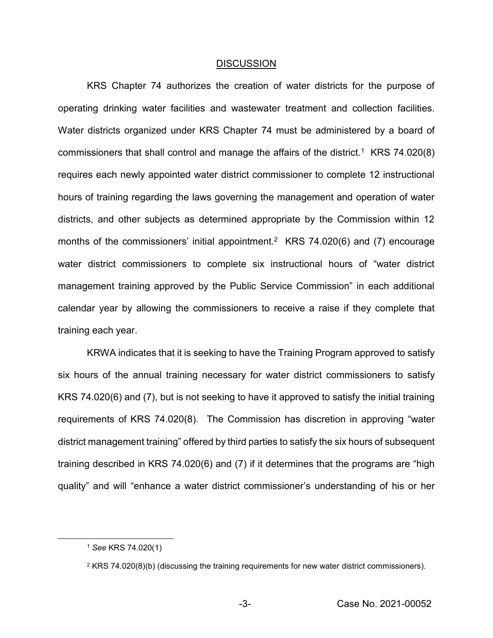#### DISCUSSION

KRS Chapter 74 authorizes the creation of water districts for the purpose of operating drinking water facilities and wastewater treatment and collection facilities. Water districts organized under KRS Chapter 74 must be administered by a board of commissioners that shall control and manage the affairs of the district.<sup>1</sup> KRS 74.020(8) requires each newly appointed water district commissioner to complete 12 instructional hours of training regarding the laws governing the management and operation of water districts, and other subjects as determined appropriate by the Commission within 12 months of the commissioners' initial appointment.<sup>2</sup> KRS 74.020(6) and (7) encourage water district commissioners to complete six instructional hours of "water district management training approved by the Public Service Commission" in each additional calendar year by allowing the commissioners to receive a raise if they complete that training each year.

KRWA indicates that it is seeking to have the Training Program approved to satisfy six hours of the annual training necessary for water district commissioners to satisfy KRS 74.020(6) and (7), but is not seeking to have it approved to satisfy the initial training requirements of KRS 74.020(8). The Commission has discretion in approving "water district management training" offered by third parties to satisfy the six hours of subsequent training described in KRS 74.020(6) and (7) if it determines that the programs are "high quality" and will "enhance a water district commissioner's understanding of his or her

 <sup>1</sup> *See* KRS 74.020(1)

 $2$  KRS 74.020(8)(b) (discussing the training requirements for new water district commissioners).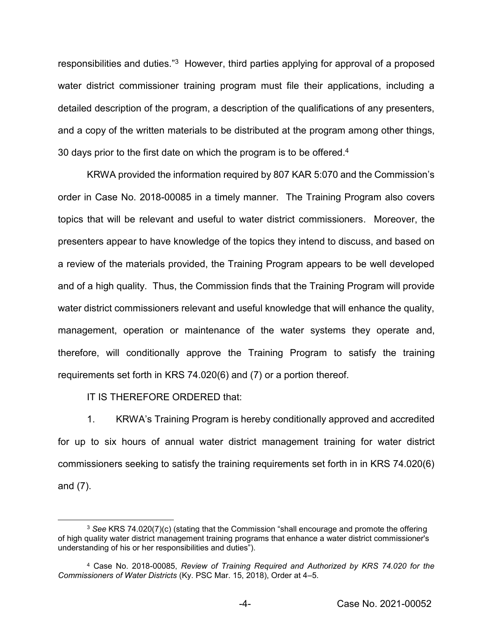responsibilities and duties."3 However, third parties applying for approval of a proposed water district commissioner training program must file their applications, including a detailed description of the program, a description of the qualifications of any presenters, and a copy of the written materials to be distributed at the program among other things, 30 days prior to the first date on which the program is to be offered.<sup>4</sup>

KRWA provided the information required by 807 KAR 5:070 and the Commission's order in Case No. 2018-00085 in a timely manner. The Training Program also covers topics that will be relevant and useful to water district commissioners. Moreover, the presenters appear to have knowledge of the topics they intend to discuss, and based on a review of the materials provided, the Training Program appears to be well developed and of a high quality. Thus, the Commission finds that the Training Program will provide water district commissioners relevant and useful knowledge that will enhance the quality, management, operation or maintenance of the water systems they operate and, therefore, will conditionally approve the Training Program to satisfy the training requirements set forth in KRS 74.020(6) and (7) or a portion thereof*.*

IT IS THEREFORE ORDERED that:

1. KRWA's Training Program is hereby conditionally approved and accredited for up to six hours of annual water district management training for water district commissioners seeking to satisfy the training requirements set forth in in KRS 74.020(6) and (7).

 <sup>3</sup> *See* KRS 74.020(7)(c) (stating that the Commission "shall encourage and promote the offerin<sup>g</sup> of high quality water district management training programs that enhance a water district commissioner's understanding of his or her responsibilities and duties").

<sup>4</sup> Case No. 2018-00085, *Review of Training Required and Authorized by KRS 74.020 for the Commissioners of Water Districts* (Ky. PSC Mar. 15, 2018), Order at 4–5.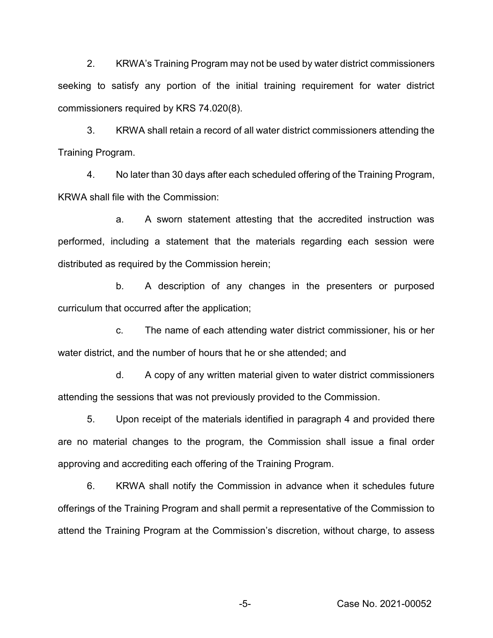2. KRWA's Training Program may not be used by water district commissioners seeking to satisfy any portion of the initial training requirement for water district commissioners required by KRS 74.020(8).

3. KRWA shall retain a record of all water district commissioners attending the Training Program.

4. No later than 30 days after each scheduled offering of the Training Program, KRWA shall file with the Commission:

a. A sworn statement attesting that the accredited instruction was performed, including a statement that the materials regarding each session were distributed as required by the Commission herein;

b. A description of any changes in the presenters or purposed curriculum that occurred after the application;

c. The name of each attending water district commissioner, his or her water district, and the number of hours that he or she attended; and

d. A copy of any written material given to water district commissioners attending the sessions that was not previously provided to the Commission.

5. Upon receipt of the materials identified in paragraph 4 and provided there are no material changes to the program, the Commission shall issue a final order approving and accrediting each offering of the Training Program.

6. KRWA shall notify the Commission in advance when it schedules future offerings of the Training Program and shall permit a representative of the Commission to attend the Training Program at the Commission's discretion, without charge, to assess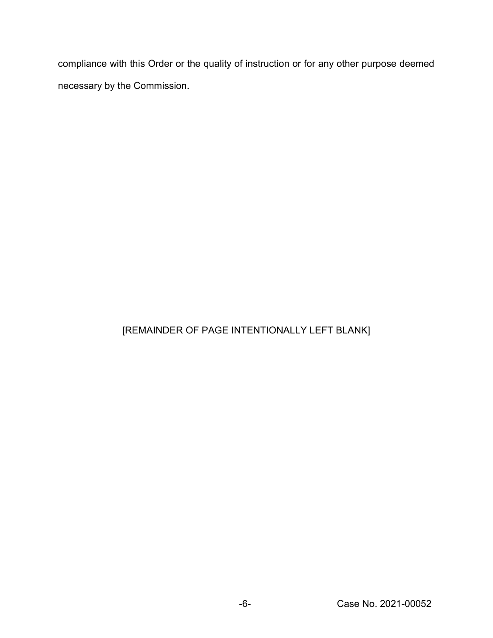compliance with this Order or the quality of instruction or for any other purpose deemed necessary by the Commission.

# [REMAINDER OF PAGE INTENTIONALLY LEFT BLANK]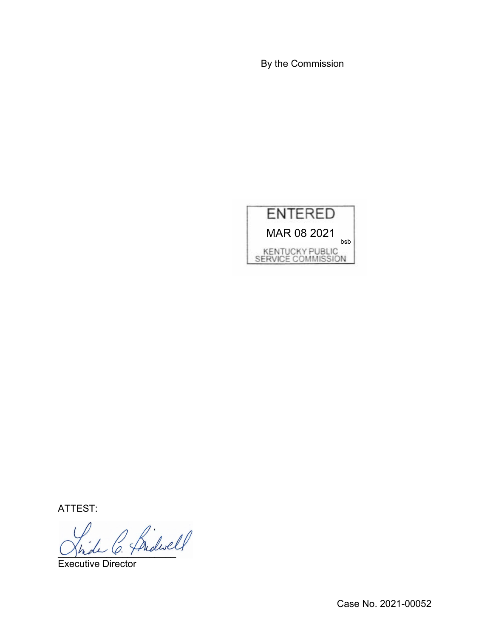By the Commission



ATTEST:

)<br>de C. Brdwell

Executive Director

Case No. 2021-00052